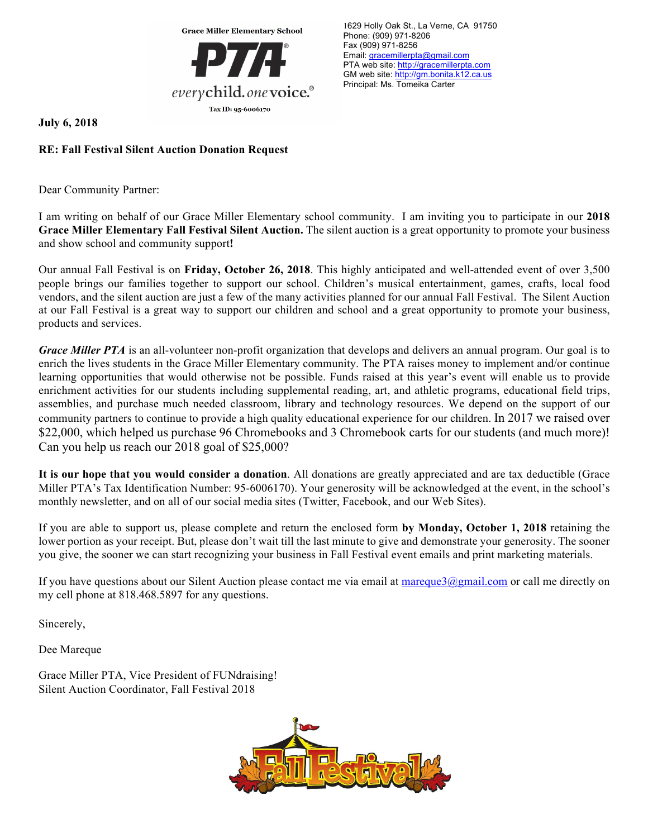

1629 Holly Oak St., La Verne, CA 91750 Phone: (909) 971-8206 Fax (909) 971-8256 Email: gracemillerpta@gmail.com PTA web site: http://gracemillerpta.com GM web site: http://gm.bonita.k12.ca.us Principal: Ms. Tomeika Carter

**July 6, 2018**

## **RE: Fall Festival Silent Auction Donation Request**

Dear Community Partner:

I am writing on behalf of our Grace Miller Elementary school community. I am inviting you to participate in our **2018 Grace Miller Elementary Fall Festival Silent Auction.** The silent auction is a great opportunity to promote your business and show school and community support**!**

Our annual Fall Festival is on **Friday, October 26, 2018**. This highly anticipated and well-attended event of over 3,500 people brings our families together to support our school. Children's musical entertainment, games, crafts, local food vendors, and the silent auction are just a few of the many activities planned for our annual Fall Festival. The Silent Auction at our Fall Festival is a great way to support our children and school and a great opportunity to promote your business, products and services.

*Grace Miller PTA* is an all-volunteer non-profit organization that develops and delivers an annual program. Our goal is to enrich the lives students in the Grace Miller Elementary community. The PTA raises money to implement and/or continue learning opportunities that would otherwise not be possible. Funds raised at this year's event will enable us to provide enrichment activities for our students including supplemental reading, art, and athletic programs, educational field trips, assemblies, and purchase much needed classroom, library and technology resources. We depend on the support of our community partners to continue to provide a high quality educational experience for our children. In 2017 we raised over \$22,000, which helped us purchase 96 Chromebooks and 3 Chromebook carts for our students (and much more)! Can you help us reach our 2018 goal of \$25,000?

**It is our hope that you would consider a donation**. All donations are greatly appreciated and are tax deductible (Grace Miller PTA's Tax Identification Number: 95-6006170). Your generosity will be acknowledged at the event, in the school's monthly newsletter, and on all of our social media sites (Twitter, Facebook, and our Web Sites).

If you are able to support us, please complete and return the enclosed form **by Monday, October 1, 2018** retaining the lower portion as your receipt. But, please don't wait till the last minute to give and demonstrate your generosity. The sooner you give, the sooner we can start recognizing your business in Fall Festival event emails and print marketing materials.

If you have questions about our Silent Auction please contact me via email at  $\frac{1}{\text{margues}}(a)$  mail.com or call me directly on my cell phone at 818.468.5897 for any questions.

Sincerely,

Dee Mareque

Grace Miller PTA, Vice President of FUNdraising! Silent Auction Coordinator, Fall Festival 2018